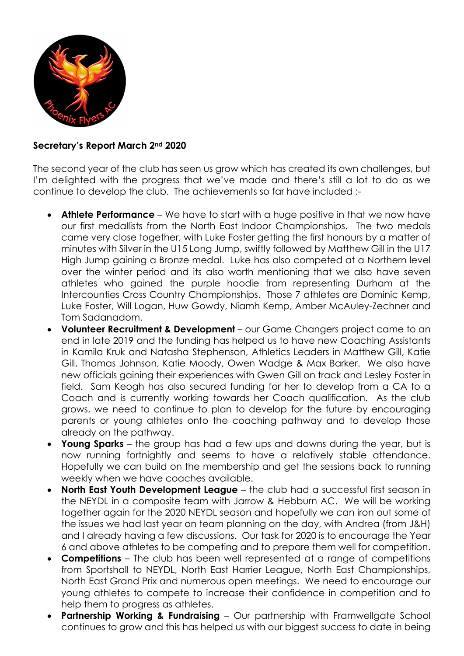

## Secretary's Report March 2nd 2020

The second year of the club has seen us grow which has created its own challenges, but I'm delighted with the progress that we've made and there's still a lot to do as we continue to develop the club. The achievements so far have included :-

- Athlete Performance We have to start with a huge positive in that we now have our first medallists from the North East Indoor Championships. The two medals came very close together, with Luke Foster getting the first honours by a matter of minutes with Silver in the U15 Long Jump, swiftly followed by Matthew Gill in the U17 High Jump gaining a Bronze medal. Luke has also competed at a Northern level over the winter period and its also worth mentioning that we also have seven athletes who gained the purple hoodie from representing Durham at the Intercounties Cross Country Championships. Those 7 athletes are Dominic Kemp, Luke Foster, Will Logan, Huw Gowdy, Niamh Kemp, Amber McAuley-Zechner and Tom Sadanadom.
- Volunteer Recruitment & Development our Game Changers project came to an end in late 2019 and the funding has helped us to have new Coaching Assistants in Kamila Kruk and Natasha Stephenson, Athletics Leaders in Matthew Gill, Katie Gill, Thomas Johnson, Katie Moody, Owen Wadge & Max Barker. We also have new officials gaining their experiences with Gwen Gill on track and Lesley Foster in field. Sam Keogh has also secured funding for her to develop from a CA to a Coach and is currently working towards her Coach qualification. As the club grows, we need to continue to plan to develop for the future by encouraging parents or young athletes onto the coaching pathway and to develop those already on the pathway.
- Young Sparks the group has had a few ups and downs during the year, but is now running fortnightly and seems to have a relatively stable attendance. Hopefully we can build on the membership and get the sessions back to running weekly when we have coaches available.
- North East Youth Development League the club had a successful first season in the NEYDL in a composite team with Jarrow & Hebburn AC. We will be working together again for the 2020 NEYDL season and hopefully we can iron out some of the issues we had last year on team planning on the day, with Andrea (from J&H) and I already having a few discussions. Our task for 2020 is to encourage the Year 6 and above athletes to be competing and to prepare them well for competition.
- Competitions The club has been well represented at a range of competitions from Sportshall to NEYDL, North East Harrier League, North East Championships, North East Grand Prix and numerous open meetings. We need to encourage our young athletes to compete to increase their confidence in competition and to help them to progress as athletes.
- Partnership Working & Fundraising Our partnership with Framwellgate School continues to grow and this has helped us with our biggest success to date in being